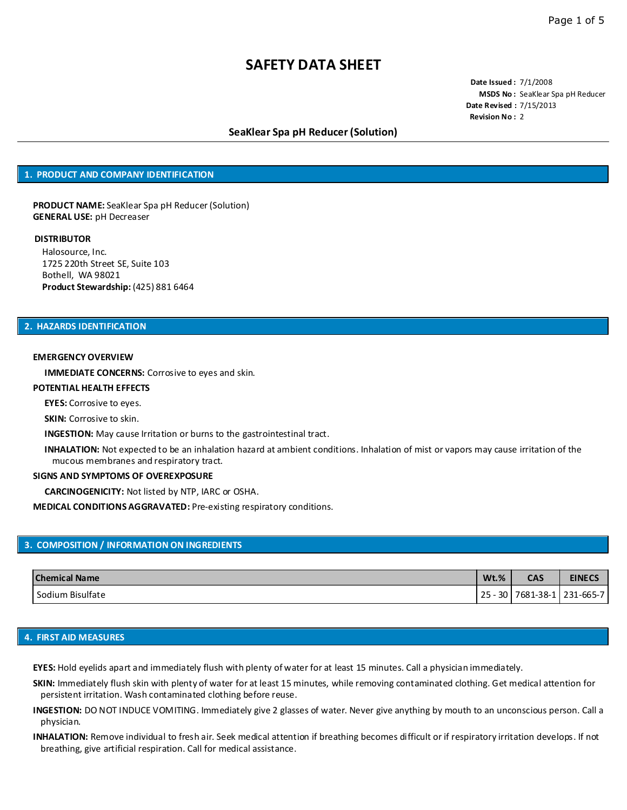**Date Issued :** 7/1/2008 **MSDS No :** SeaKlear Spa pH Reducer **Date Revised :** 7/15/2013 **Revision No :** 2

## **SeaKlear Spa pH Reducer (Solution)**

### **1. PRODUCT AND COMPANY IDENTIFICATION**

**PRODUCT NAME:** SeaKlear Spa pH Reducer (Solution) **GENERAL USE:** pH Decreaser

#### **DISTRIBUTOR**

Halosource, Inc. 1725 220th Street SE, Suite 103 Bothell, WA 98021 **Product Stewardship:** (425) 881 6464

### **2. HAZARDS IDENTIFICATION**

#### **EMERGENCY OVERVIEW**

**IMMEDIATE CONCERNS:** Corrosive to eyes and skin.

#### **POTENTIAL HEALTH EFFECTS**

**EYES:** Corrosive to eyes.

**SKIN:** Corrosive to skin.

**INGESTION:** May cause Irritation or burns to the gastrointestinal tract.

**INHALATION:** Not expected to be an inhalation hazard at ambient conditions. Inhalation of mist or vapors may cause irritation of the mucous membranes and respiratory tract.

#### **SIGNS AND SYMPTOMS OF OVEREXPOSURE**

**CARCINOGENICITY:** Not listed by NTP, IARC or OSHA.

**MEDICAL CONDITIONS AGGRAVATED:** Pre-existing respiratory conditions.

## **3. COMPOSITION / INFORMATION ON INGREDIENTS**

| <b>Chemical Name</b> | $Wt.$ %  | <b>CAS</b> | <b>EINECS</b> |
|----------------------|----------|------------|---------------|
| I Sodium Bisulfate   | 30<br>25 | 7681-38-1  | 231-665-7     |

#### **4. FIRST AID MEASURES**

**EYES:** Hold eyelids apart and immediately flush with plenty of water for at least 15 minutes. Call a physician immediately.

- **SKIN:** Immediately flush skin with plenty of water for at least 15 minutes, while removing contaminated clothing. Get medical attention for persistent irritation. Wash contaminated clothing before reuse.
- **INGESTION:** DO NOT INDUCE VOMITING. Immediately give 2 glasses of water. Never give anything by mouth to an unconscious person. Call a physician.
- **INHALATION:** Remove individual to fresh air. Seek medical attention if breathing becomes difficult or if respiratory irritation develops. If not breathing, give artificial respiration. Call for medical assistance.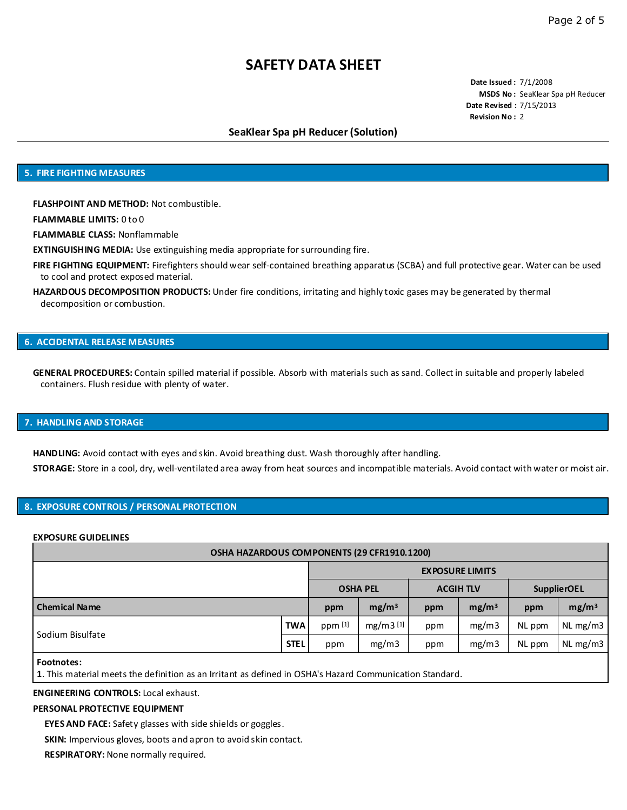**Date Issued :** 7/1/2008 **MSDS No :** SeaKlear Spa pH Reducer **Date Revised :** 7/15/2013 **Revision No :** 2

## **SeaKlear Spa pH Reducer (Solution)**

### **5. FIRE FIGHTING MEASURES**

**FLASHPOINT AND METHOD:** Not combustible.

**FLAMMABLE LIMITS:** 0 to 0

**FLAMMABLE CLASS:** Nonflammable

**EXTINGUISHING MEDIA:** Use extinguishing media appropriate for surrounding fire.

**FIRE FIGHTING EQUIPMENT:** Firefighters should wear self-contained breathing apparatus (SCBA) and full protective gear. Water can be used to cool and protect exposed material.

**HAZARDOUS DECOMPOSITION PRODUCTS:** Under fire conditions, irritating and highly toxic gases may be generated by thermal decomposition or combustion.

## **6. ACCIDENTAL RELEASE MEASURES**

**GENERAL PROCEDURES:** Contain spilled material if possible. Absorb with materials such as sand. Collect in suitable and properly labeled containers. Flush residue with plenty of water.

### **7. HANDLING AND STORAGE**

**HANDLING:** Avoid contact with eyes and skin. Avoid breathing dust. Wash thoroughly after handling. **STORAGE:** Store in a cool, dry, well-ventilated area away from heat sources and incompatible materials. Avoid contact with water or moist air.

## **8. EXPOSURE CONTROLS / PERSONAL PROTECTION**

#### **EXPOSURE GUIDELINES**

| <b>OSHA HAZARDOUS COMPONENTS (29 CFR1910.1200)</b> |             |                 |                        |                  |                   |                    |                   |  |  |
|----------------------------------------------------|-------------|-----------------|------------------------|------------------|-------------------|--------------------|-------------------|--|--|
|                                                    |             |                 | <b>EXPOSURE LIMITS</b> |                  |                   |                    |                   |  |  |
|                                                    |             | <b>OSHA PEL</b> |                        | <b>ACGIH TLV</b> |                   | <b>SupplierOEL</b> |                   |  |  |
| <b>Chemical Name</b>                               |             | ppm             | mg/m <sup>3</sup>      | ppm              | mg/m <sup>3</sup> | ppm                | mg/m <sup>3</sup> |  |  |
| Sodium Bisulfate                                   | TWA.        | ppm [1]         | $mg/m3^{[1]}$          | ppm              | mg/m3             | NL ppm             | NL mg/m3          |  |  |
|                                                    | <b>STEL</b> | ppm             | mg/m3                  | ppm              | mg/m3             | NL ppm             | $NL$ mg/m3        |  |  |

**Footnotes:**

**1**. This material meets the definition as an Irritant as defined in OSHA's Hazard Communication Standard.

### **ENGINEERING CONTROLS:** Local exhaust.

## **PERSONAL PROTECTIVE EQUIPMENT**

**EYES AND FACE:** Safety glasses with side shields or goggles.

**SKIN:** Impervious gloves, boots and apron to avoid skin contact.

**RESPIRATORY:** None normally required.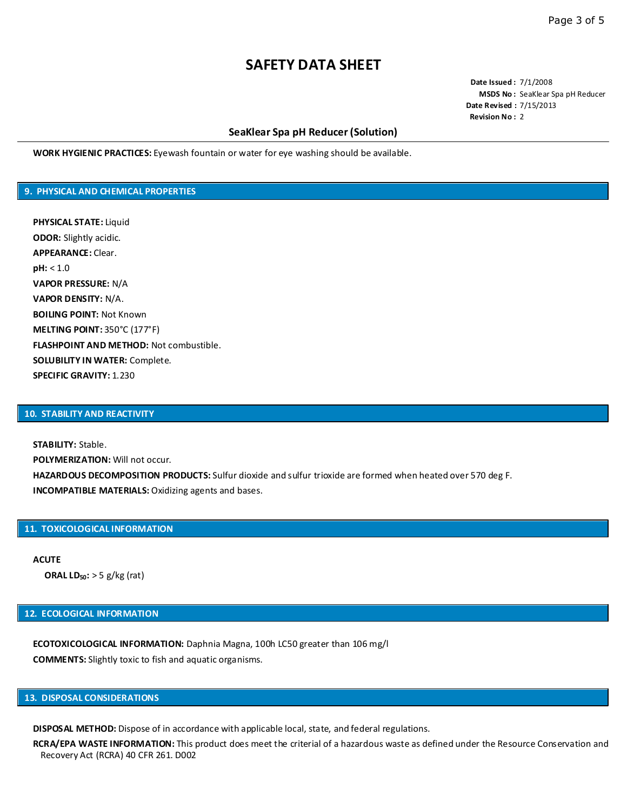**Date Issued :** 7/1/2008 **MSDS No :** SeaKlear Spa pH Reducer **Date Revised :** 7/15/2013 **Revision No :** 2

## **SeaKlear Spa pH Reducer (Solution)**

**WORK HYGIENIC PRACTICES:** Eyewash fountain or water for eye washing should be available.

## **9. PHYSICAL AND CHEMICAL PROPERTIES**

**PHYSICAL STATE:** Liquid **ODOR:** Slightly acidic. **APPEARANCE:** Clear. **pH:** < 1.0 **VAPOR PRESSURE:** N/A **VAPOR DENSITY:** N/A. **BOILING POINT:** Not Known **MELTING POINT:** 350°C (177°F) **FLASHPOINT AND METHOD:** Not combustible. **SOLUBILITY IN WATER:** Complete. **SPECIFIC GRAVITY:** 1.230

## **10. STABILITY AND REACTIVITY**

**STABILITY:** Stable. **POLYMERIZATION:** Will not occur. **HAZARDOUS DECOMPOSITION PRODUCTS:** Sulfur dioxide and sulfur trioxide are formed when heated over 570 deg F. **INCOMPATIBLE MATERIALS:** Oxidizing agents and bases.

### **11. TOXICOLOGICAL INFORMATION**

**ACUTE ORAL LD50:** > 5 g/kg (rat)

## **12. ECOLOGICAL INFORMATION**

**ECOTOXICOLOGICAL INFORMATION:** Daphnia Magna, 100h LC50 greater than 106 mg/l **COMMENTS:** Slightly toxic to fish and aquatic organisms.

# **13. DISPOSAL CONSIDERATIONS**

**DISPOSAL METHOD:** Dispose of in accordance with applicable local, state, and federal regulations.

**RCRA/EPA WASTE INFORMATION:** This product does meet the criterial of a hazardous waste as defined under the Resource Conservation and Recovery Act (RCRA) 40 CFR 261. D002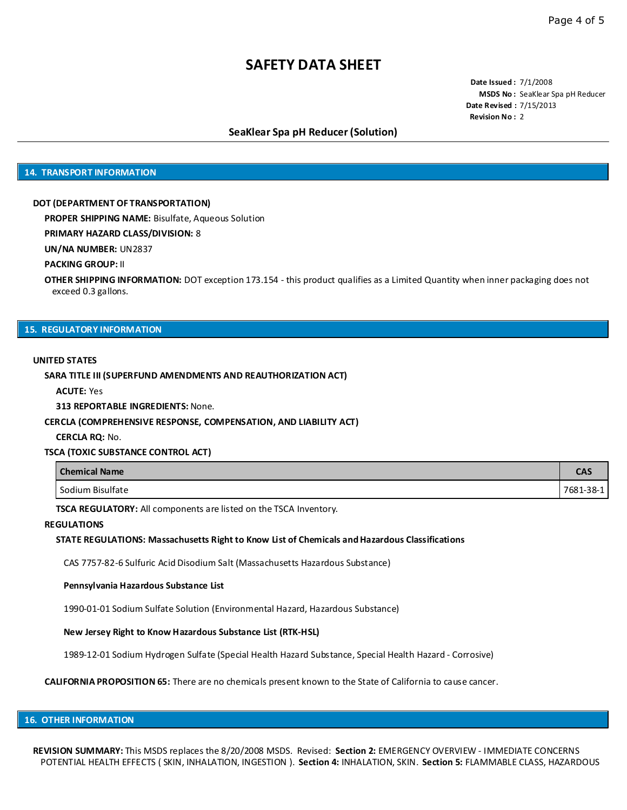**Date Issued :** 7/1/2008 **MSDS No :** SeaKlear Spa pH Reducer **Date Revised :** 7/15/2013 **Revision No :** 2

## **SeaKlear Spa pH Reducer (Solution)**

## **14. TRANSPORT INFORMATION**

#### **DOT (DEPARTMENT OF TRANSPORTATION)**

**PROPER SHIPPING NAME:** Bisulfate, Aqueous Solution

### **PRIMARY HAZARD CLASS/DIVISION:** 8

**UN/NA NUMBER:** UN2837

#### **PACKING GROUP:** II

**OTHER SHIPPING INFORMATION:** DOT exception 173.154 - this product qualifies as a Limited Quantity when inner packaging does not exceed 0.3 gallons.

#### **15. REGULATORY INFORMATION**

#### **UNITED STATES**

### **SARA TITLE III (SUPERFUND AMENDMENTS AND REAUTHORIZATION ACT)**

**ACUTE:** Yes

**313 REPORTABLE INGREDIENTS:** None.

### **CERCLA (COMPREHENSIVE RESPONSE, COMPENSATION, AND LIABILITY ACT)**

**CERCLA RQ:** No.

#### **TSCA (TOXIC SUBSTANCE CONTROL ACT)**

| <b>Chemical Name</b> | $\sim$ $\sim$<br>-- |
|----------------------|---------------------|
| Sodium Bisulfate     | 7681-38-1           |

**TSCA REGULATORY:** All components are listed on the TSCA Inventory.

### **REGULATIONS**

#### **STATE REGULATIONS: Massachusetts Right to Know List of Chemicals and Hazardous Classifications**

CAS 7757-82-6 Sulfuric Acid Disodium Salt (Massachusetts Hazardous Substance)

#### **Pennsylvania Hazardous Substance List**

1990-01-01 Sodium Sulfate Solution (Environmental Hazard, Hazardous Substance)

#### **New Jersey Right to Know Hazardous Substance List (RTK-HSL)**

1989-12-01 Sodium Hydrogen Sulfate (Special Health Hazard Substance, Special Health Hazard - Corrosive)

**CALIFORNIA PROPOSITION 65:** There are no chemicals present known to the State of California to cause cancer.

# **16. OTHER INFORMATION**

**REVISION SUMMARY:** This MSDS replaces the 8/20/2008 MSDS. Revised: **Section 2:** EMERGENCY OVERVIEW - IMMEDIATE CONCERNS POTENTIAL HEALTH EFFECTS ( SKIN, INHALATION, INGESTION ). **Section 4:** INHALATION, SKIN. **Section 5:** FLAMMABLE CLASS, HAZARDOUS